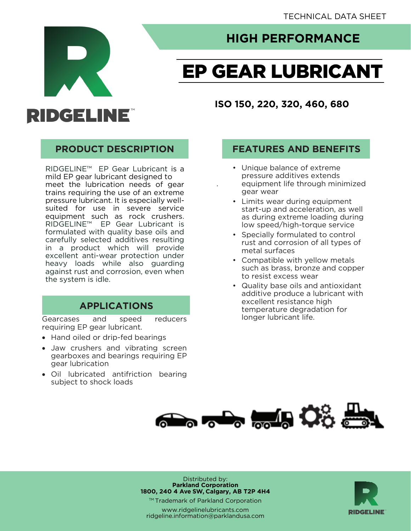

## **HIGH PERFORMANCE HIGH PERFORMANCE**

# **EP GEAR LUBRICANT**

**ISO 150, 220, 320, 460, 680**

## **PRODUCT DESCRIPTION**

RIDGELINE™ EP Gear Lubricant is a<br>mild EP gear lubricant designed to meet the lubrication needs of gear trains requiring the use of an extreme pressure lubricant. It is especially wellsuited for use in severe service equipment such as rock crushers. RIDGELINE™ EP Gear Lubricant is formulated with quality base oils and carefully selected additives resulting in a product which will provide excellent anti-wear protection under heavy loads while also quarding against rust and corrosion, even when the system is idle.  $\frac{1}{\sqrt{2}}$ 

## **APPLICATIONS**

**APPLICATIONS** Gearcases and speed<br>requiring EP gear lubricant. reducers

- Hand oiled or drip-fed bearings
- Jaw crushers and vibrating screen<br>gearboxes and bearings requiring EP gear lubrication
- Oil lubricated antifriction bearing<br>subject to shock loads subject to shock loads

#### **FEATURES AND BENEFITS PRODUCT DESCRIPTION FEATURES AND BENEFITS**

- Unique balance of extreme pressure additives extends equipment life through minimized gear wear
- Limits wear during equipment start-up and acceleration, as well as during extreme loading during low speed/high-torque service
- Specially formulated to control rust and corrosion of all types of metal surfaces
- Compatible with yellow metals such as brass, bronze and copper to resist excess wear
- Quality base oils and antioxidant additive produce a lubricant with excellent resistance high temperature degradation for longer lubricant life. longer lubricant life.



Distributed by:<br>**Parkland Corporation** 1800, 240 4 Ave SW, Calgary, AB T2P 4H4

™ Trademark of Parkland Corporation

www.ridgelinelubricants.com line.information@parklandusa ridgeline.information@parklandusa.com